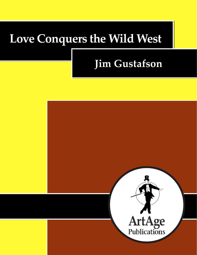# **Love Conquers the Wild West**

## **Jim Gustafson**

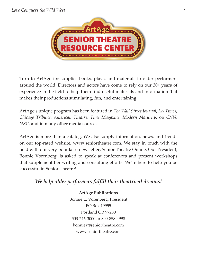

Turn to ArtAge for supplies books, plays, and materials to older performers around the world. Directors and actors have come to rely on our 30+ years of experience in the field to help them find useful materials and information that makes their productions stimulating, fun, and entertaining.

ArtAge's unique program has been featured in *The Wall Street Journal*, *LA Times*, *Chicago Tribune*, *American Theatre*, *Time Magazine*, *Modern Maturity*, on *CNN*, *NBC*, and in many other media sources.

ArtAge is more than a catalog. We also supply information, news, and trends on our top-rated website, www.seniortheatre.com. We stay in touch with the field with our very popular e-newsletter, Senior Theatre Online. Our President, Bonnie Vorenberg, is asked to speak at conferences and present workshops that supplement her writing and consulting efforts. We're here to help you be successful in Senior Theatre!

#### *We help older performers fulfill their theatrical dreams!*

**ArtAge Publications** Bonnie L. Vorenberg, President PO Box 19955 Portland OR 97280 503-246-3000 or 800-858-4998 bonniev@seniortheatre.com www.seniortheatre.com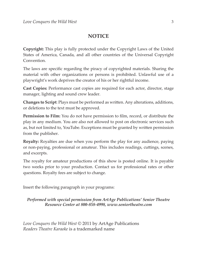#### **NOTICE**

**Copyright:** This play is fully protected under the Copyright Laws of the United States of America, Canada, and all other countries of the Universal Copyright Convention.

The laws are specific regarding the piracy of copyrighted materials. Sharing the material with other organizations or persons is prohibited. Unlawful use of a playwright's work deprives the creator of his or her rightful income.

**Cast Copies:** Performance cast copies are required for each actor, director, stage manager, lighting and sound crew leader.

**Changes to Script**: Plays must be performed as written. Any alterations, additions, or deletions to the text must be approved.

**Permission to Film:** You do not have permission to film, record, or distribute the play in any medium. You are also not allowed to post on electronic services such as, but not limited to, YouTube. Exceptions must be granted by written permission from the publisher.

**Royalty:** Royalties are due when you perform the play for any audience, paying or non-paying, professional or amateur. This includes readings, cuttings, scenes, and excerpts.

The royalty for amateur productions of this show is posted online. It is payable two weeks prior to your production. Contact us for professional rates or other questions. Royalty fees are subject to change.

Insert the following paragraph in your programs:

*Performed with special permission from ArtAge Publications' Senior Theatre Resource Center at 800-858-4998, www.seniortheatre.com* 

*Love Conquers the Wild West ©* 2011 by ArtAge Publications *Readers Theatre Karaoke* is a trademarked name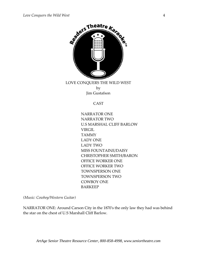

LOVE CONQUERS THE WILD WEST by Jim Gustafson

CAST

NARRATOR ONE NARRATOR TWO U.S MARSHAL CLIFF BARLOW VIRGIL TAMMY LADY ONE LADY TWO MISS FOUNTAINE/DAISY CHRISTOPHER SMITH/BARON OFFICE WORKER ONE OFFICE WORKER TWO TOWNSPERSON ONE TOWNSPERSON TWO COWBOY ONE BARKEEP

*(Music: Cowboy/Western Guitar)*

NARRATOR ONE: Around Carson City in the 1870ʹs the only law they had was behind the star on the chest of U.S Marshall Cliff Barlow.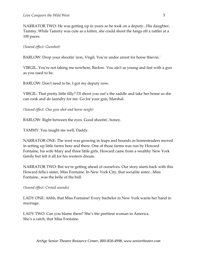NARRATOR TWO: He was getting up in years so he took on a deputy...His daughter, Tammy. While Tammy was cute as a kitten, she could shoot the fangs off a rattler at a 100 paces.

*(Sound effect: Gunshot)*

BARLOW: Drop your shootin' iron, Virgil. You're under arrest for horse thievin.'

VIRGIL: You're not taking me nowhere, Barlow. You ain't as young and fast with a gun as you used to be.

BARLOW: Don't need to be. I got my deputy now.

VIRGIL: That pretty little filly? Iʹll shoot you out'a the saddle and take her home so she can cook and do laundry for me. Go for your gun, Marshal.

*(Sound effect: One gun shot and horse neigh)*

BARLOW: Right between the eyes. Good shootinʹ, honey.

TAMMY: You taught me well, Daddy.

NARRATOR ONE: The west was growing in leaps and bounds as homesteaders moved in setting up little farms here and there. One of those farms was run by Howard Fontaine, his wife Mary and three little girls. Howard came from a wealthy New York family but left it all for his western dream.

NARRATOR TWO: But weʹre getting ahead of ourselves. Our story starts back with this Howard fellaʹs sister, Miss Fontaine. In New York City, that socialite sister...Miss Fontaine...was the belle of the ball.

*(Sound effect: Crowd sounds)*

LADY ONE: Ahhh, that Miss Fontaine! Every bachelor in New York wants her hand in marriage.

LADY TWO: Can you blame them? She's the prettiest woman in America. She's a catch, that Miss Fontaine.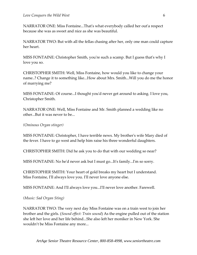NARRATOR ONE: Miss Fontaine...Thatʹs what everybody called her outʹa respect because she was as sweet and nice as she was beautiful.

NARRATOR TWO: But with all the fellas chasing after her, only one man could capture her heart.

MISS FONTAINE: Christopher Smith, you're such a scamp. But I guess that's why I love you so.

CHRISTOPHER SMITH: Well, Miss Fontaine, how would you like to change your name..? Change it to something like...How about Mrs. Smith...Will you do me the honor of marrying me?

MISS FONTAINE: Of course...I thought youʹd never get around to asking. I love you, Christopher Smith.

NARRATOR ONE: Well, Miss Fontaine and Mr. Smith planned a wedding like no other...But it was never to be...

*(Ominous Organ stinger)*

MISS FONTAINE: Christopher, I have terrible news. My brother's wife Mary died of the fever. I have to go west and help him raise his three wonderful daughters.

CHRISTOPHER SMITH: Did he ask you to do that with our wedding so near?

MISS FONTAINE: No heʹd never ask but I must go...Itʹs family...Iʹm so sorry.

CHRISTOPHER SMITH: Your heart of gold breaks my heart but I understand. Miss Fontaine, Iʹll always love you. Iʹll never love anyone else.

MISS FONTAINE: And Iʹll always love you...Iʹll never love another. Farewell.

*(Music: Sad Organ Sting)*

NARRATOR TWO: The very next day Miss Fontaine was on a train west to join her brother and the girls. (*Sound effect: Train sound*) As the engine pulled out of the station she left her love and her life behind...She also left her moniker in New York. She wouldn't be Miss Fontaine any more...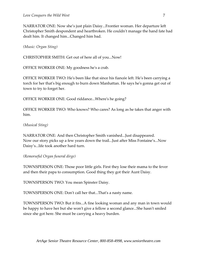NARRATOR ONE: Now she's just plain Daisy...Frontier woman. Her departure left Christopher Smith despondent and heartbroken. He couldnʹt manage the hand fate had dealt him. It changed him...Changed him bad.

*(Music: Organ Sting)*

CHRISTOPHER SMITH: Get out of here all of you...Now!

OFFICE WORKER ONE: My goodness heʹs a crab.

OFFICE WORKER TWO: Heʹs been like that since his fiancée left. Heʹs been carrying a torch for her thatʹs big enough to burn down Manhattan. He says heʹs gonna get out of town to try to forget her.

OFFICE WORKER ONE: Good riddance...Whereʹs he going?

OFFICE WORKER TWO: Who knows? Who cares? As long as he takes that anger with him.

*(Musical Sting)*

NARRATOR ONE: And then Christopher Smith vanished...Just disappeared. Now our story picks up a few years down the trail...Just after Miss Fontaine's...Now Daisy's...life took another hard turn.

*(Remorseful Organ funeral dirge)*

TOWNSPERSON ONE: Those poor little girls. First they lose their mama to the fever and then their papa to consumption. Good thing they got their Aunt Daisy.

TOWNSPERSON TWO: You mean Spinster Daisy.

TOWNSPERSON ONE: Donʹt call her that...Thatʹs a nasty name.

TOWNSPERSON TWO: But it fits...A fine looking woman and any man in town would be happy to have her but she won't give a fellow a second glance...She hasn't smiled since she got here. She must be carrying a heavy burden.